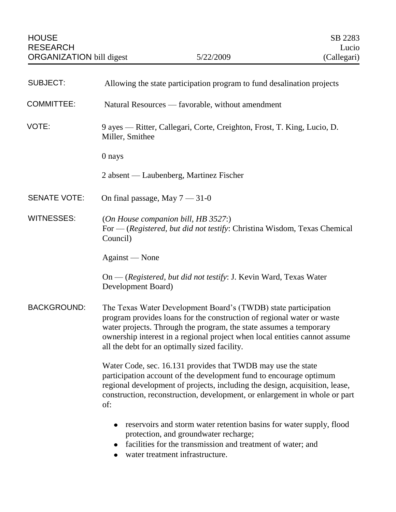| <b>SUBJECT:</b>     | Allowing the state participation program to fund desalination projects                                                                                                                                                                                                                                                                        |
|---------------------|-----------------------------------------------------------------------------------------------------------------------------------------------------------------------------------------------------------------------------------------------------------------------------------------------------------------------------------------------|
| <b>COMMITTEE:</b>   | Natural Resources — favorable, without amendment                                                                                                                                                                                                                                                                                              |
| VOTE:               | 9 ayes — Ritter, Callegari, Corte, Creighton, Frost, T. King, Lucio, D.<br>Miller, Smithee                                                                                                                                                                                                                                                    |
|                     | 0 nays                                                                                                                                                                                                                                                                                                                                        |
|                     | 2 absent — Laubenberg, Martinez Fischer                                                                                                                                                                                                                                                                                                       |
| <b>SENATE VOTE:</b> | On final passage, May $7 - 31 - 0$                                                                                                                                                                                                                                                                                                            |
| WITNESSES:          | (On House companion bill, HB 3527:)<br>For — (Registered, but did not testify: Christina Wisdom, Texas Chemical<br>Council)                                                                                                                                                                                                                   |
|                     | Against — None                                                                                                                                                                                                                                                                                                                                |
|                     | On — (Registered, but did not testify: J. Kevin Ward, Texas Water<br>Development Board)                                                                                                                                                                                                                                                       |
| <b>BACKGROUND:</b>  | The Texas Water Development Board's (TWDB) state participation<br>program provides loans for the construction of regional water or waste<br>water projects. Through the program, the state assumes a temporary<br>ownership interest in a regional project when local entities cannot assume<br>all the debt for an optimally sized facility. |
|                     | Water Code, sec. 16.131 provides that TWDB may use the state<br>participation account of the development fund to encourage optimum<br>regional development of projects, including the design, acquisition, lease,<br>construction, reconstruction, development, or enlargement in whole or part<br>of:                                        |
|                     | reservoirs and storm water retention basins for water supply, flood<br>protection, and groundwater recharge;<br>facilities for the transmission and treatment of water; and<br>water treatment infrastructure.                                                                                                                                |